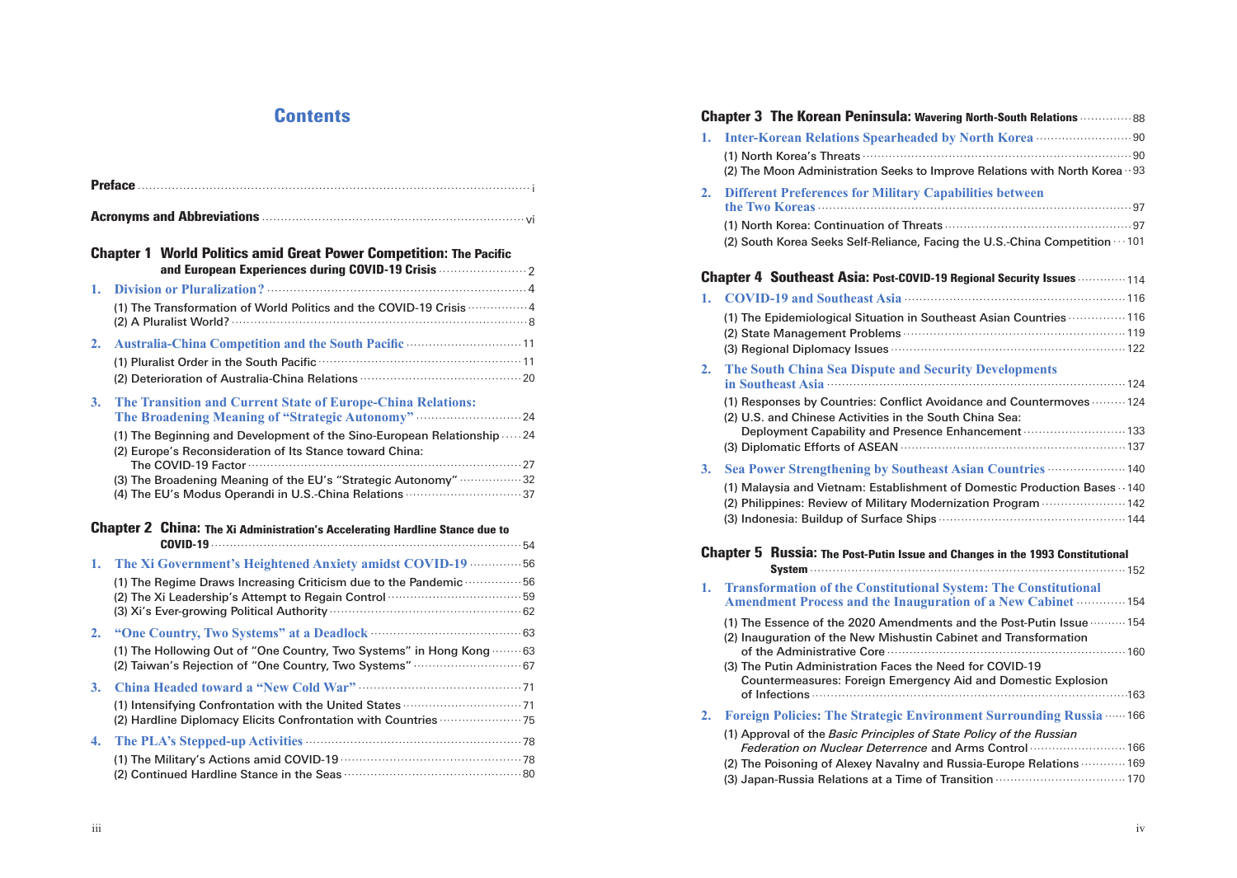| <b>Chapter 1 World Politics amid Great Power Competition: The Pacific</b><br>and European Experiences during COVID-19 Crisis |                                                                                                                                                                                                                                                                                                                                                                                      |  |  |  |
|------------------------------------------------------------------------------------------------------------------------------|--------------------------------------------------------------------------------------------------------------------------------------------------------------------------------------------------------------------------------------------------------------------------------------------------------------------------------------------------------------------------------------|--|--|--|
| 1.                                                                                                                           | (1) The Transformation of World Politics and the COVID-19 Crisis  4                                                                                                                                                                                                                                                                                                                  |  |  |  |
| 2.                                                                                                                           | Australia-China Competition and the South Pacific  11                                                                                                                                                                                                                                                                                                                                |  |  |  |
| 3.                                                                                                                           | The Transition and Current State of Europe-China Relations:<br>The Broadening Meaning of "Strategic Autonomy"  24<br>(1) The Beginning and Development of the Sino-European Relationship  24<br>(2) Europe's Reconsideration of Its Stance toward China:<br>(3) The Broadening Meaning of the EU's "Strategic Autonomy" 32<br>(4) The EU's Modus Operandi in U.S.-China Relations 37 |  |  |  |
|                                                                                                                              | <b>Chapter 2 China: The Xi Administration's Accelerating Hardline Stance due to</b>                                                                                                                                                                                                                                                                                                  |  |  |  |
| 1.                                                                                                                           | The Xi Government's Heightened Anxiety amidst COVID-19  56<br>(1) The Regime Draws Increasing Criticism due to the Pandemic  56                                                                                                                                                                                                                                                      |  |  |  |
| 2.                                                                                                                           | (1) The Hollowing Out of "One Country, Two Systems" in Hong Kong  63<br>(2) Taiwan's Rejection of "One Country, Two Systems"  67                                                                                                                                                                                                                                                     |  |  |  |
| 3.                                                                                                                           | (2) Hardline Diplomacy Elicits Confrontation with Countries  75                                                                                                                                                                                                                                                                                                                      |  |  |  |
| 4.                                                                                                                           |                                                                                                                                                                                                                                                                                                                                                                                      |  |  |  |

| Contents                                                                                                                                                      | <b>Chapter 3 The Korean Peninsula: Wavering North-South Relations  88</b>                                                                                                                                                                                                                                                                                                                                                   |  |  |
|---------------------------------------------------------------------------------------------------------------------------------------------------------------|-----------------------------------------------------------------------------------------------------------------------------------------------------------------------------------------------------------------------------------------------------------------------------------------------------------------------------------------------------------------------------------------------------------------------------|--|--|
|                                                                                                                                                               | (2) The Moon Administration Seeks to Improve Relations with North Korea $\cdot$ 93                                                                                                                                                                                                                                                                                                                                          |  |  |
|                                                                                                                                                               | 2. Different Preferences for Military Capabilities between                                                                                                                                                                                                                                                                                                                                                                  |  |  |
| d Great Power Competition: The Pacific                                                                                                                        | (2) South Korea Seeks Self-Reliance, Facing the U.S.-China Competition · · · 101                                                                                                                                                                                                                                                                                                                                            |  |  |
|                                                                                                                                                               | <b>Chapter 4 Southeast Asia: Post-COVID-19 Regional Security Issues </b> 114                                                                                                                                                                                                                                                                                                                                                |  |  |
| rld Politics and the COVID-19 Crisis  4                                                                                                                       | 1. COVID-19 and Southeast Asia manufactured and 116<br>(1) The Epidemiological Situation in Southeast Asian Countries  116                                                                                                                                                                                                                                                                                                  |  |  |
|                                                                                                                                                               | The South China Sea Dispute and Security Developments<br>2.                                                                                                                                                                                                                                                                                                                                                                 |  |  |
| <b>t State of Europe-China Relations:</b><br>pment of the Sino-European Relationship 24<br>of Its Stance toward China:<br>of the EU's "Strategic Autonomy" 32 | (1) Responses by Countries: Conflict Avoidance and Countermoves  124<br>(2) U.S. and Chinese Activities in the South China Sea:<br>Deployment Capability and Presence Enhancement  133<br>3. Sea Power Strengthening by Southeast Asian Countries <b>Street Program</b> 140<br>(1) Malaysia and Vietnam: Establishment of Domestic Production Bases · 140<br>(2) Philippines: Review of Military Modernization Program  142 |  |  |
| istration's Accelerating Hardline Stance due to                                                                                                               |                                                                                                                                                                                                                                                                                                                                                                                                                             |  |  |
| ntened Anxiety amidst COVID-19 ··············· 56                                                                                                             | <b>Chapter 5 Russia: The Post-Putin Issue and Changes in the 1993 Constitutional</b>                                                                                                                                                                                                                                                                                                                                        |  |  |
| sing Criticism due to the Pandemic  56                                                                                                                        | 1. Transformation of the Constitutional System: The Constitutional<br><b>Amendment Process and the Inauguration of a New Cabinet  154</b>                                                                                                                                                                                                                                                                                   |  |  |
| s" at a Deadlock (1998) 63<br>e Country, Two Systems" in Hong Kong 63                                                                                         | (1) The Essence of the 2020 Amendments and the Post-Putin Issue  154<br>(2) Inauguration of the New Mishustin Cabinet and Transformation                                                                                                                                                                                                                                                                                    |  |  |
|                                                                                                                                                               | (3) The Putin Administration Faces the Need for COVID-19<br>Countermeasures: Foreign Emergency Aid and Domestic Explosion                                                                                                                                                                                                                                                                                                   |  |  |
|                                                                                                                                                               | 2. Foreign Policies: The Strategic Environment Surrounding Russia …… 166                                                                                                                                                                                                                                                                                                                                                    |  |  |
| $d$ COVID-19 $\cdots$ $\cdots$ $\cdots$ $\cdots$ $\cdots$ $\cdots$ $\cdots$ $\cdots$ $\cdots$ $\cdots$ $\cdots$ $\cdots$                                      | (1) Approval of the Basic Principles of State Policy of the Russian<br>Federation on Nuclear Deterrence and Arms Control  166<br>(2) The Poisoning of Alexey Navalny and Russia-Europe Relations  169                                                                                                                                                                                                                       |  |  |
|                                                                                                                                                               |                                                                                                                                                                                                                                                                                                                                                                                                                             |  |  |